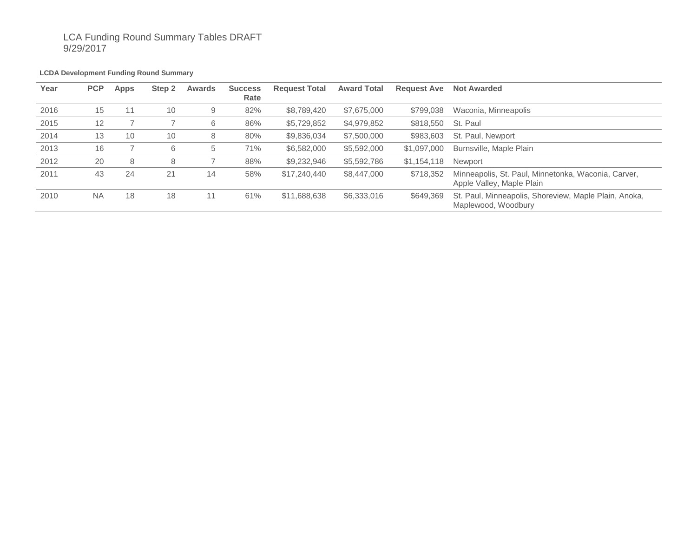# LCA Funding Round Summary Tables DRAFT 9/29/2017

#### **LCDA Development Funding Round Summary**

| Year | <b>PCP</b> | <b>Apps</b> | Step 2 | Awards | <b>Success</b><br>Rate | <b>Request Total</b> | <b>Award Total</b> | <b>Request Ave</b> | <b>Not Awarded</b>                                                               |
|------|------------|-------------|--------|--------|------------------------|----------------------|--------------------|--------------------|----------------------------------------------------------------------------------|
| 2016 | 15         | 11          | 10     | 9      | 82%                    | \$8,789,420          | \$7,675,000        | \$799,038          | Waconia, Minneapolis                                                             |
| 2015 | 12         |             |        | 6      | 86%                    | \$5,729,852          | \$4,979,852        | \$818,550          | St. Paul                                                                         |
| 2014 | 13         | 10          | 10     | 8      | 80%                    | \$9,836,034          | \$7,500,000        | \$983,603          | St. Paul, Newport                                                                |
| 2013 | 16         |             | 6      | 5      | 71%                    | \$6,582,000          | \$5,592,000        | \$1,097,000        | Burnsville, Maple Plain                                                          |
| 2012 | 20         | 8           | 8      |        | 88%                    | \$9,232,946          | \$5,592,786        | \$1,154,118        | Newport                                                                          |
| 2011 | 43         | 24          | 21     | 14     | 58%                    | \$17,240,440         | \$8,447,000        | \$718,352          | Minneapolis, St. Paul, Minnetonka, Waconia, Carver,<br>Apple Valley, Maple Plain |
| 2010 | <b>NA</b>  | 18          | 18     | 11     | 61%                    | \$11,688,638         | \$6,333,016        | \$649,369          | St. Paul, Minneapolis, Shoreview, Maple Plain, Anoka,<br>Maplewood, Woodbury     |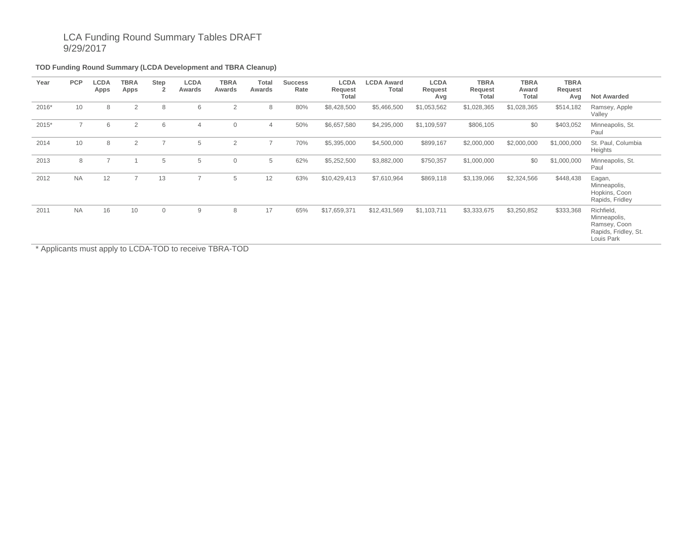# LCA Funding Round Summary Tables DRAFT 9/29/2017

### **TOD Funding Round Summary (LCDA Development and TBRA Cleanup)**

| Year  | <b>PCP</b>     | LCDA<br>Apps | <b>TBRA</b><br>Apps | Step<br>$\overline{2}$ | <b>LCDA</b><br>Awards | <b>TBRA</b><br>Awards | Total<br>Awards | <b>Success</b><br>Rate | <b>LCDA</b><br>Request<br>Total | <b>LCDA Award</b><br>Total | <b>LCDA</b><br>Request<br>Avg | <b>TBRA</b><br>Request<br>Total | <b>TBRA</b><br>Award<br>Total | <b>TBRA</b><br>Request<br>Avg | <b>Not Awarded</b>                                                               |
|-------|----------------|--------------|---------------------|------------------------|-----------------------|-----------------------|-----------------|------------------------|---------------------------------|----------------------------|-------------------------------|---------------------------------|-------------------------------|-------------------------------|----------------------------------------------------------------------------------|
| 2016* | 10             | 8            | 2                   | 8                      | 6                     | 2                     | 8               | 80%                    | \$8,428,500                     | \$5,466,500                | \$1,053,562                   | \$1,028,365                     | \$1,028,365                   | \$514,182                     | Ramsey, Apple<br>Valley                                                          |
| 2015* | $\overline{7}$ | 6            | 2                   | 6                      | 4                     | $\mathbf 0$           | $\overline{4}$  | 50%                    | \$6,657,580                     | \$4,295,000                | \$1,109,597                   | \$806,105                       | \$0                           | \$403,052                     | Minneapolis, St.<br>Paul                                                         |
| 2014  | 10             | 8            | 2                   | $\overline{7}$         | 5                     | $\overline{2}$        | 7               | 70%                    | \$5,395,000                     | \$4,500,000                | \$899,167                     | \$2,000,000                     | \$2,000,000                   | \$1,000,000                   | St. Paul, Columbia<br>Heights                                                    |
| 2013  | 8              |              |                     | 5                      | 5                     | $\mathbf 0$           | 5               | 62%                    | \$5,252,500                     | \$3,882,000                | \$750,357                     | \$1,000,000                     | \$0                           | \$1,000,000                   | Minneapolis, St.<br>Paul                                                         |
| 2012  | <b>NA</b>      | 12           | $\overline{7}$      | 13                     | $\overline{7}$        | 5                     | 12              | 63%                    | \$10,429,413                    | \$7,610,964                | \$869,118                     | \$3,139,066                     | \$2,324,566                   | \$448,438                     | Eagan,<br>Minneapolis,<br>Hopkins, Coon<br>Rapids, Fridley                       |
| 2011  | <b>NA</b>      | 16           | 10                  | $\overline{0}$         | 9                     | 8                     | 17              | 65%                    | \$17,659,371                    | \$12,431,569               | \$1,103,711                   | \$3,333,675                     | \$3,250,852                   | \$333,368                     | Richfield,<br>Minneapolis,<br>Ramsey, Coon<br>Rapids, Fridley, St.<br>Louis Park |

\* Applicants must apply to LCDA-TOD to receive TBRA-TOD